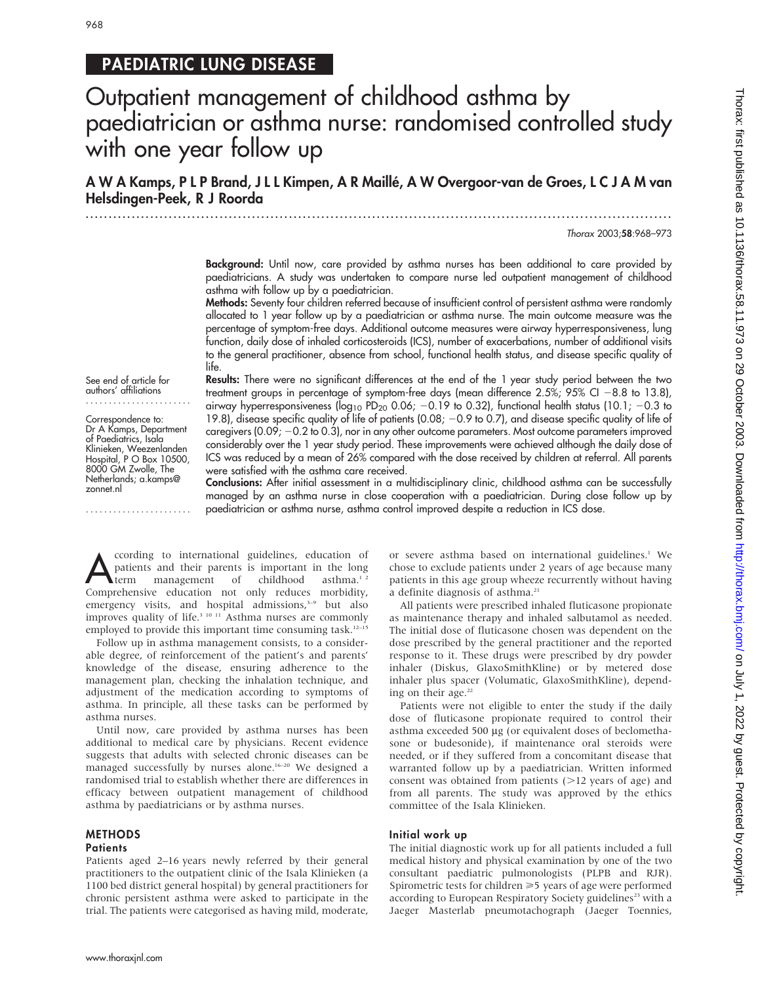## PAEDIATRIC LUNG DISEASE

# Outpatient management of childhood asthma by paediatrician or asthma nurse: randomised controlled study with one year follow up

A W A Kamps, P L P Brand, J L L Kimpen, A R Maillé, A W Overgoor-van de Groes, L C J A M van Helsdingen-Peek, R J Roorda

.............................................................................................................................. .

Thorax 2003;58:968–973

Background: Until now, care provided by asthma nurses has been additional to care provided by paediatricians. A study was undertaken to compare nurse led outpatient management of childhood asthma with follow up by a paediatrician.

Methods: Seventy four children referred because of insufficient control of persistent asthma were randomly allocated to 1 year follow up by a paediatrician or asthma nurse. The main outcome measure was the percentage of symptom-free days. Additional outcome measures were airway hyperresponsiveness, lung function, daily dose of inhaled corticosteroids (ICS), number of exacerbations, number of additional visits to the general practitioner, absence from school, functional health status, and disease specific quality of life.

See end of article for authors' affiliations .......................

Correspondence to: Dr A Kamps, Department of Paediatrics, Isala Klinieken, Weezenlanden Hospital, P O Box 10500, 8000 GM Zwolle, The Netherlands; a.kamps@ zonnet.nl

.......................

Results: There were no significant differences at the end of the 1 year study period between the two treatment groups in percentage of symptom-free days (mean difference  $2.5\%$ ;  $95\%$  CI  $-8.8$  to 13.8), airway hyperresponsiveness ( $\log_{10}$  PD<sub>20</sub> 0.06; -0.19 to 0.32), functional health status (10.1; -0.3 to 19.8), disease specific quality of life of patients  $(0.08, -0.9$  to 0.7), and disease specific quality of life of caregivers  $(0.09; -0.2$  to 0.3), nor in any other outcome parameters. Most outcome parameters improved considerably over the 1 year study period. These improvements were achieved although the daily dose of ICS was reduced by a mean of 26% compared with the dose received by children at referral. All parents were satisfied with the asthma care received.

Conclusions: After initial assessment in a multidisciplinary clinic, childhood asthma can be successfully managed by an asthma nurse in close cooperation with a paediatrician. During close follow up by paediatrician or asthma nurse, asthma control improved despite a reduction in ICS dose.

According to international guidelines, education of<br>patients and their parents is important in the long<br>term management of childhood asthma.<sup>12</sup> patients and their parents is important in the long term management of childhood asthma.<sup>12</sup> Comprehensive education not only reduces morbidity, emergency visits, and hospital admissions,<sup>3-9</sup> but also improves quality of life.<sup>3 10 11</sup> Asthma nurses are commonly employed to provide this important time consuming task.<sup>12-15</sup>

Follow up in asthma management consists, to a considerable degree, of reinforcement of the patient's and parents' knowledge of the disease, ensuring adherence to the management plan, checking the inhalation technique, and adjustment of the medication according to symptoms of asthma. In principle, all these tasks can be performed by asthma nurses.

Until now, care provided by asthma nurses has been additional to medical care by physicians. Recent evidence suggests that adults with selected chronic diseases can be managed successfully by nurses alone.<sup>16-20</sup> We designed a randomised trial to establish whether there are differences in efficacy between outpatient management of childhood asthma by paediatricians or by asthma nurses.

### METHODS

### **Patients**

Patients aged 2–16 years newly referred by their general practitioners to the outpatient clinic of the Isala Klinieken (a 1100 bed district general hospital) by general practitioners for chronic persistent asthma were asked to participate in the trial. The patients were categorised as having mild, moderate, or severe asthma based on international guidelines.<sup>1</sup> We chose to exclude patients under 2 years of age because many patients in this age group wheeze recurrently without having a definite diagnosis of asthma.<sup>21</sup>

All patients were prescribed inhaled fluticasone propionate as maintenance therapy and inhaled salbutamol as needed. The initial dose of fluticasone chosen was dependent on the dose prescribed by the general practitioner and the reported response to it. These drugs were prescribed by dry powder inhaler (Diskus, GlaxoSmithKline) or by metered dose inhaler plus spacer (Volumatic, GlaxoSmithKline), depending on their age.<sup>22</sup>

Patients were not eligible to enter the study if the daily dose of fluticasone propionate required to control their asthma exceeded 500 µg (or equivalent doses of beclomethasone or budesonide), if maintenance oral steroids were needed, or if they suffered from a concomitant disease that warranted follow up by a paediatrician. Written informed consent was obtained from patients  $(>12$  years of age) and from all parents. The study was approved by the ethics committee of the Isala Klinieken.

### Initial work up

The initial diagnostic work up for all patients included a full medical history and physical examination by one of the two consultant paediatric pulmonologists (PLPB and RJR). Spirometric tests for children  $\geqslant$  5 years of age were performed according to European Respiratory Society guidelines<sup>23</sup> with a Jaeger Masterlab pneumotachograph (Jaeger Toennies,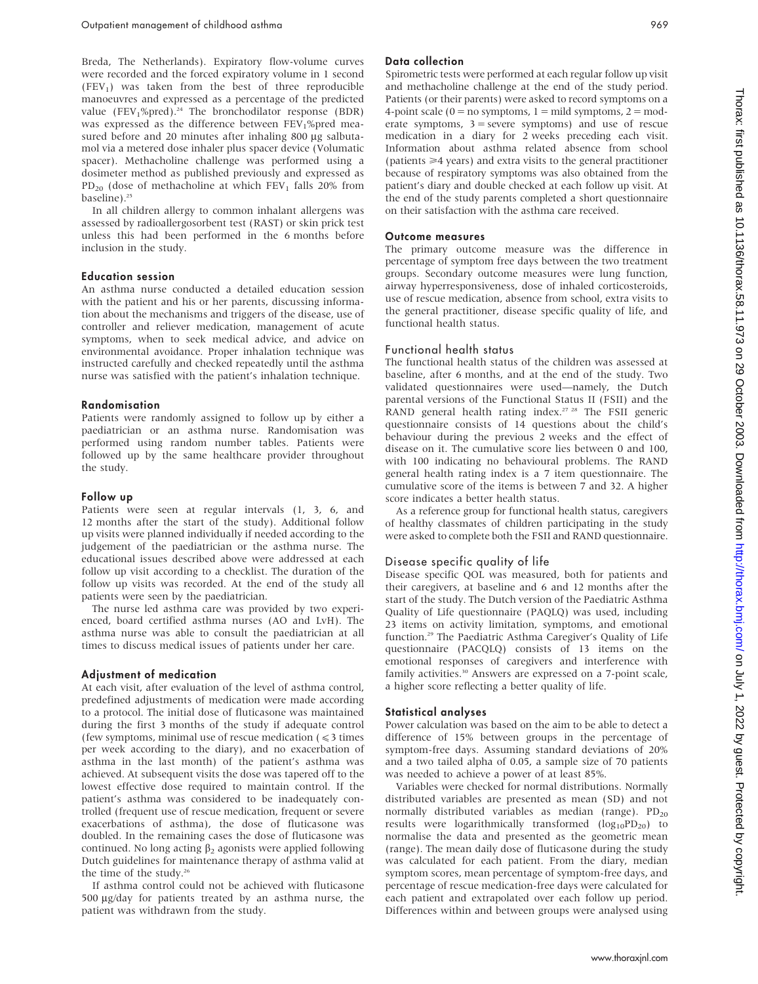Breda, The Netherlands). Expiratory flow-volume curves were recorded and the forced expiratory volume in 1 second  $(FEV<sub>1</sub>)$  was taken from the best of three reproducible manoeuvres and expressed as a percentage of the predicted value (FEV<sub>1</sub>%pred).<sup>24</sup> The bronchodilator response (BDR) was expressed as the difference between FEV<sub>1</sub>%pred measured before and 20 minutes after inhaling 800 µg salbutamol via a metered dose inhaler plus spacer device (Volumatic spacer). Methacholine challenge was performed using a dosimeter method as published previously and expressed as  $PD_{20}$  (dose of methacholine at which  $FEV_1$  falls 20% from baseline).<sup>25</sup>

In all children allergy to common inhalant allergens was assessed by radioallergosorbent test (RAST) or skin prick test unless this had been performed in the 6 months before inclusion in the study.

### Education session

An asthma nurse conducted a detailed education session with the patient and his or her parents, discussing information about the mechanisms and triggers of the disease, use of controller and reliever medication, management of acute symptoms, when to seek medical advice, and advice on environmental avoidance. Proper inhalation technique was instructed carefully and checked repeatedly until the asthma nurse was satisfied with the patient's inhalation technique.

### Randomisation

Patients were randomly assigned to follow up by either a paediatrician or an asthma nurse. Randomisation was performed using random number tables. Patients were followed up by the same healthcare provider throughout the study.

#### Follow up

Patients were seen at regular intervals (1, 3, 6, and 12 months after the start of the study). Additional follow up visits were planned individually if needed according to the judgement of the paediatrician or the asthma nurse. The educational issues described above were addressed at each follow up visit according to a checklist. The duration of the follow up visits was recorded. At the end of the study all patients were seen by the paediatrician.

The nurse led asthma care was provided by two experienced, board certified asthma nurses (AO and LvH). The asthma nurse was able to consult the paediatrician at all times to discuss medical issues of patients under her care.

#### Adjustment of medication

At each visit, after evaluation of the level of asthma control, predefined adjustments of medication were made according to a protocol. The initial dose of fluticasone was maintained during the first 3 months of the study if adequate control (few symptoms, minimal use of rescue medication ( $\leq 3$  times per week according to the diary), and no exacerbation of asthma in the last month) of the patient's asthma was achieved. At subsequent visits the dose was tapered off to the lowest effective dose required to maintain control. If the patient's asthma was considered to be inadequately controlled (frequent use of rescue medication, frequent or severe exacerbations of asthma), the dose of fluticasone was doubled. In the remaining cases the dose of fluticasone was continued. No long acting  $\beta_2$  agonists were applied following Dutch guidelines for maintenance therapy of asthma valid at the time of the study.<sup>26</sup>

If asthma control could not be achieved with fluticasone 500  $\mu$ g/day for patients treated by an asthma nurse, the patient was withdrawn from the study.

#### Data collection

Spirometric tests were performed at each regular follow up visit and methacholine challenge at the end of the study period. Patients (or their parents) were asked to record symptoms on a 4-point scale ( $0 = no$  symptoms,  $1 = mid$  symptoms,  $2 = mod$ erate symptoms,  $3 =$  severe symptoms) and use of rescue medication in a diary for 2 weeks preceding each visit. Information about asthma related absence from school (patients  $\geq 4$  years) and extra visits to the general practitioner because of respiratory symptoms was also obtained from the patient's diary and double checked at each follow up visit. At the end of the study parents completed a short questionnaire on their satisfaction with the asthma care received.

### Outcome measures

The primary outcome measure was the difference in percentage of symptom free days between the two treatment groups. Secondary outcome measures were lung function, airway hyperresponsiveness, dose of inhaled corticosteroids, use of rescue medication, absence from school, extra visits to the general practitioner, disease specific quality of life, and functional health status.

#### Functional health status

The functional health status of the children was assessed at baseline, after 6 months, and at the end of the study. Two validated questionnaires were used—namely, the Dutch parental versions of the Functional Status II (FSII) and the RAND general health rating index.<sup>27 28</sup> The FSII generic questionnaire consists of 14 questions about the child's behaviour during the previous 2 weeks and the effect of disease on it. The cumulative score lies between 0 and 100, with 100 indicating no behavioural problems. The RAND general health rating index is a 7 item questionnaire. The cumulative score of the items is between 7 and 32. A higher score indicates a better health status.

As a reference group for functional health status, caregivers of healthy classmates of children participating in the study were asked to complete both the FSII and RAND questionnaire.

### Disease specific quality of life

Disease specific QOL was measured, both for patients and their caregivers, at baseline and 6 and 12 months after the start of the study. The Dutch version of the Paediatric Asthma Quality of Life questionnaire (PAQLQ) was used, including 23 items on activity limitation, symptoms, and emotional function.29 The Paediatric Asthma Caregiver's Quality of Life questionnaire (PACQLQ) consists of 13 items on the emotional responses of caregivers and interference with family activities.<sup>30</sup> Answers are expressed on a 7-point scale, a higher score reflecting a better quality of life.

### Statistical analyses

Power calculation was based on the aim to be able to detect a difference of 15% between groups in the percentage of symptom-free days. Assuming standard deviations of 20% and a two tailed alpha of 0.05, a sample size of 70 patients was needed to achieve a power of at least 85%.

Variables were checked for normal distributions. Normally distributed variables are presented as mean (SD) and not normally distributed variables as median (range).  $PD_{20}$ results were logarithmically transformed  $(log_{10}PD_{20})$  to normalise the data and presented as the geometric mean (range). The mean daily dose of fluticasone during the study was calculated for each patient. From the diary, median symptom scores, mean percentage of symptom-free days, and percentage of rescue medication-free days were calculated for each patient and extrapolated over each follow up period. Differences within and between groups were analysed using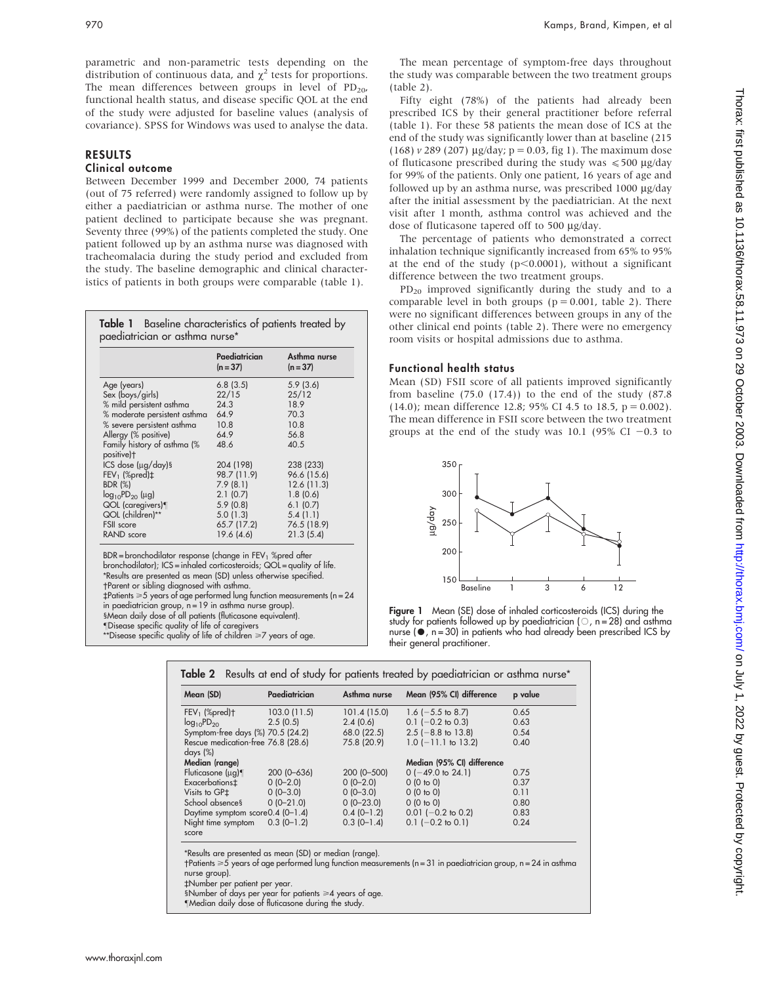parametric and non-parametric tests depending on the distribution of continuous data, and  $\chi^2$  tests for proportions. The mean differences between groups in level of  $PD_{20}$ , functional health status, and disease specific QOL at the end of the study were adjusted for baseline values (analysis of covariance). SPSS for Windows was used to analyse the data.

### RESULTS

### Clinical outcome

Between December 1999 and December 2000, 74 patients (out of 75 referred) were randomly assigned to follow up by either a paediatrician or asthma nurse. The mother of one patient declined to participate because she was pregnant. Seventy three (99%) of the patients completed the study. One patient followed up by an asthma nurse was diagnosed with tracheomalacia during the study period and excluded from the study. The baseline demographic and clinical characteristics of patients in both groups were comparable (table 1).

| <b>Table 1</b> Baseline characteristics of patients treated by<br>paediatrician or asthma nurse* |                             |                            |  |  |
|--------------------------------------------------------------------------------------------------|-----------------------------|----------------------------|--|--|
|                                                                                                  | Paediatrician<br>$(n = 37)$ | Asthma nurse<br>$(n = 37)$ |  |  |
| Age (years)                                                                                      | 6.8(3.5)                    | 5.9(3.6)                   |  |  |
| Sex (boys/girls)                                                                                 | 22/15                       | 25/12                      |  |  |
| % mild persistent asthma                                                                         | 24.3                        | 18.9                       |  |  |
| % moderate persistent asthma                                                                     | 64.9                        | 70.3                       |  |  |
| % severe persistent asthma                                                                       | 10.8                        | 10.8                       |  |  |
| Allergy (% positive)                                                                             | 64.9                        | 56.8                       |  |  |
| Family history of asthma (%<br>positive)+                                                        | 48.6                        | 40.5                       |  |  |
| ICS dose (µg/day)§                                                                               | 204 (198)                   | 238 (233)                  |  |  |
| $FEV_1$ (%pred) $\ddagger$                                                                       | 98.7 (11.9)                 | 96.6 (15.6)                |  |  |
| <b>BDR (%)</b>                                                                                   | 7.9(8.1)                    | 12.6(11.3)                 |  |  |
| $log_{10}PD_{20}$ (µg)                                                                           | 2.1(0.7)                    | 1.8(0.6)                   |  |  |
| QOL (caregivers)¶<br>QOL (children)**                                                            | 5.9(0.8)<br>5.0(1.3)        | 6.1(0.7)<br>5.4(1.1)       |  |  |
| <b>FSII</b> score                                                                                | 65.7 (17.2)                 | 76.5 (18.9)                |  |  |
| <b>RAND</b> score                                                                                | 19.6(4.6)                   | 21.3(5.4)                  |  |  |

 $BDR = bronchodilator$  response (change in FEV<sub>1</sub> %pred after bronchodilator); ICS = inhaled corticosteroids; QOL = quality of life. \*Results are presented as mean (SD) unless otherwise specified. -Parent or sibling diagnosed with asthma.  $\text{\#Paths} \geqslant 5$  years of age performed lung function measurements (n = 24 in paediatrician group,  $n = 19$  in asthma nurse group). **5Mean daily dose of all patients (fluticasone equivalent)** Disease specific quality of life of caregivers

\*\*Disease specific quality of life of children >7 years of age.

The mean percentage of symptom-free days throughout the study was comparable between the two treatment groups (table 2).

Fifty eight (78%) of the patients had already been prescribed ICS by their general practitioner before referral (table 1). For these 58 patients the mean dose of ICS at the end of the study was significantly lower than at baseline (215 (168)  $v$  289 (207)  $\mu$ g/day; p = 0.03, fig 1). The maximum dose of fluticasone prescribed during the study was  $\leq 500 \text{ µg/day}$ for 99% of the patients. Only one patient, 16 years of age and followed up by an asthma nurse, was prescribed  $1000 \mu$ g/day after the initial assessment by the paediatrician. At the next visit after 1 month, asthma control was achieved and the dose of fluticasone tapered off to 500 µg/day.

The percentage of patients who demonstrated a correct inhalation technique significantly increased from 65% to 95% at the end of the study ( $p<0.0001$ ), without a significant difference between the two treatment groups.

 $PD_{20}$  improved significantly during the study and to a comparable level in both groups ( $p = 0.001$ , table 2). There were no significant differences between groups in any of the other clinical end points (table 2). There were no emergency room visits or hospital admissions due to asthma.

### Functional health status

Mean (SD) FSII score of all patients improved significantly from baseline  $(75.0 \t(17.4))$  to the end of the study  $(87.8$  $(14.0)$ ; mean difference 12.8; 95% CI 4.5 to 18.5, p = 0.002). The mean difference in FSII score between the two treatment groups at the end of the study was 10.1 (95% CI  $-0.3$  to



Figure 1 Mean (SE) dose of inhaled corticosteroids (ICS) during the study for patients followed up by paediatrician ( $\circ$ , n = 28) and asthma nurse ( $\bullet$ , n = 30) in patients who had already been prescribed ICS by their general practitioner.

| Table 2 Results at end of study for patients treated by paediatrician or asthma nurse* |                |              |                              |         |  |  |
|----------------------------------------------------------------------------------------|----------------|--------------|------------------------------|---------|--|--|
| Mean (SD)                                                                              | Paediatrician  | Asthma nurse | Mean (95% CI) difference     | p value |  |  |
| $FEV_1$ (%pred)†                                                                       | 103.0(11.5)    | 101.4 (15.0) | 1.6 $(-5.5 \text{ to } 8.7)$ | 0.65    |  |  |
| $log_{10}PD_{20}$                                                                      | 2.5(0.5)       | 2.4(0.6)     | $0.1$ (-0.2 to 0.3)          | 0.63    |  |  |
| Symptom-free days (%) 70.5 (24.2)                                                      |                | 68.0 (22.5)  | $2.5$ (-8.8 to 13.8)         | 0.54    |  |  |
| Rescue medication-free 76.8 (28.6)<br>days $(\%)$                                      |                | 75.8 (20.9)  | $1.0$ (-11.1 to 13.2)        | 0.40    |  |  |
| Median (range)                                                                         |                |              | Median (95% CI) difference   |         |  |  |
| Fluticasone (µq)¶                                                                      | $200(0 - 636)$ | 200 (0-500)  | $0 (-49.0 \text{ to } 24.1)$ | 0.75    |  |  |
| Exacerbationst                                                                         | $0(0-2.0)$     | $0(0-2.0)$   | 0(0 to 0)                    | 0.37    |  |  |
| Visits to GP <sub>±</sub>                                                              | $0(0-3.0)$     | $0(0-3.0)$   | 0(0 to 0)                    | 0.11    |  |  |
| School absences                                                                        | $0(0-21.0)$    | $0(0-23.0)$  | 0(0 to 0)                    | 0.80    |  |  |
| Daytime symptom score 0.4 (0-1.4)                                                      |                | $0.4(0-1.2)$ | $0.01$ (-0.2 to 0.2)         | 0.83    |  |  |
| Night time symptom<br>score                                                            | $0.3(0-1.2)$   | $0.3(0-1.4)$ | $0.1$ (-0.2 to 0.1)          | 0.24    |  |  |

\*Results are presented as mean (SD) or median (range).

†Patients ≥5 years of age performed lung function measurements (n=31 in paediatrician group, n=24 in asthma nurse group).

`Number per patient per year.

 $1$ Number of days per year for patients  $\geq 4$  years of age

Median daily dose of fluticasone during the study.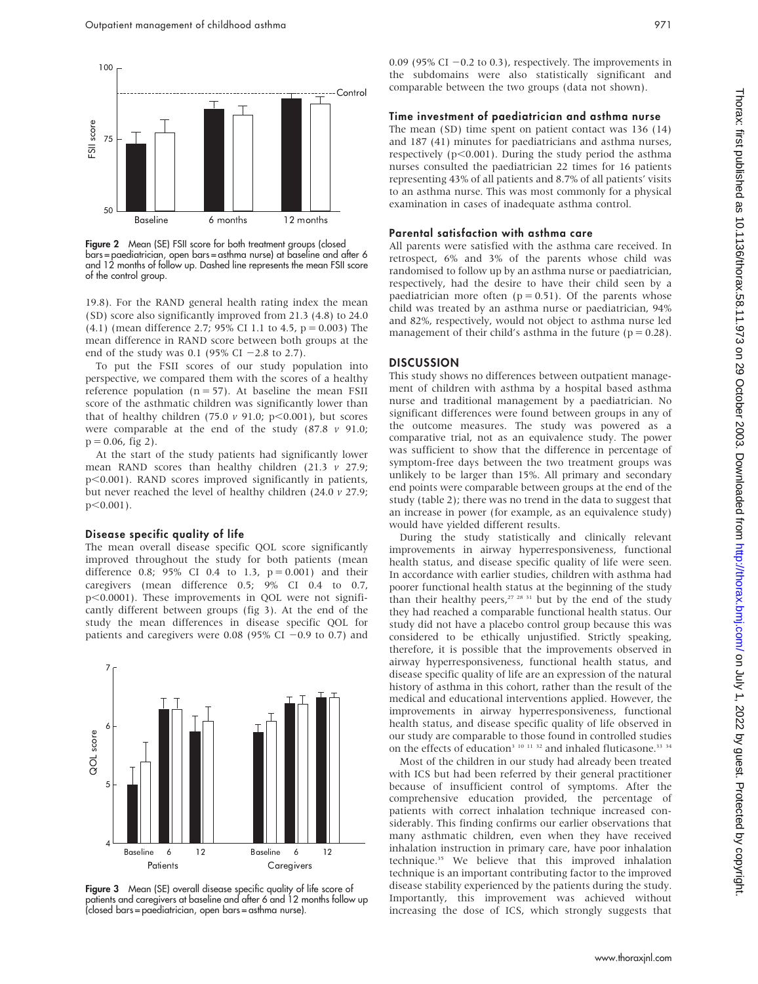

Figure 2 Mean (SE) FSII score for both treatment groups (closed bars = paediatrician, open bars = asthma nurse) at baseline and after 6 and 12 months of follow up. Dashed line represents the mean FSII score of the control group.

19.8). For the RAND general health rating index the mean (SD) score also significantly improved from 21.3 (4.8) to 24.0  $(4.1)$  (mean difference 2.7; 95% CI 1.1 to 4.5, p = 0.003) The mean difference in RAND score between both groups at the end of the study was 0.1 (95% CI  $-2.8$  to 2.7).

To put the FSII scores of our study population into perspective, we compared them with the scores of a healthy reference population  $(n = 57)$ . At baseline the mean FSII score of the asthmatic children was significantly lower than that of healthy children (75.0  $\nu$  91.0; p<0.001), but scores were comparable at the end of the study  $(87.8 \text{ v } 91.0;$  $p = 0.06$ , fig 2).

At the start of the study patients had significantly lower mean RAND scores than healthy children (21.3  $v$  27.9; p<0.001). RAND scores improved significantly in patients, but never reached the level of healthy children (24.0 v 27.9;  $p<0.001$ ).

### Disease specific quality of life

The mean overall disease specific QOL score significantly improved throughout the study for both patients (mean difference 0.8; 95% CI 0.4 to 1.3,  $p = 0.001$ ) and their caregivers (mean difference 0.5; 9% CI 0.4 to 0.7, p<0.0001). These improvements in QOL were not significantly different between groups (fig 3). At the end of the study the mean differences in disease specific QOL for patients and caregivers were 0.08 (95% CI  $-0.9$  to 0.7) and



Figure 3 Mean (SE) overall disease specific quality of life score of patients and caregivers at baseline and after 6 and 12 months follow up (closed bars = paediatrician, open bars = asthma nurse).

0.09 (95% CI  $-0.2$  to 0.3), respectively. The improvements in the subdomains were also statistically significant and comparable between the two groups (data not shown).

### Time investment of paediatrician and asthma nurse

The mean (SD) time spent on patient contact was 136 (14) and 187 (41) minutes for paediatricians and asthma nurses, respectively  $(p<0.001)$ . During the study period the asthma nurses consulted the paediatrician 22 times for 16 patients representing 43% of all patients and 8.7% of all patients' visits to an asthma nurse. This was most commonly for a physical examination in cases of inadequate asthma control.

### Parental satisfaction with asthma care

All parents were satisfied with the asthma care received. In retrospect, 6% and 3% of the parents whose child was randomised to follow up by an asthma nurse or paediatrician, respectively, had the desire to have their child seen by a paediatrician more often  $(p = 0.51)$ . Of the parents whose child was treated by an asthma nurse or paediatrician, 94% and 82%, respectively, would not object to asthma nurse led management of their child's asthma in the future ( $p = 0.28$ ).

#### **DISCUSSION**

This study shows no differences between outpatient management of children with asthma by a hospital based asthma nurse and traditional management by a paediatrician. No significant differences were found between groups in any of the outcome measures. The study was powered as a comparative trial, not as an equivalence study. The power was sufficient to show that the difference in percentage of symptom-free days between the two treatment groups was unlikely to be larger than 15%. All primary and secondary end points were comparable between groups at the end of the study (table 2); there was no trend in the data to suggest that an increase in power (for example, as an equivalence study) would have yielded different results.

During the study statistically and clinically relevant improvements in airway hyperresponsiveness, functional health status, and disease specific quality of life were seen. In accordance with earlier studies, children with asthma had poorer functional health status at the beginning of the study than their healthy peers, $27 \times 31$  but by the end of the study they had reached a comparable functional health status. Our study did not have a placebo control group because this was considered to be ethically unjustified. Strictly speaking, therefore, it is possible that the improvements observed in airway hyperresponsiveness, functional health status, and disease specific quality of life are an expression of the natural history of asthma in this cohort, rather than the result of the medical and educational interventions applied. However, the improvements in airway hyperresponsiveness, functional health status, and disease specific quality of life observed in our study are comparable to those found in controlled studies on the effects of education<sup>3 10 11 32</sup> and inhaled fluticasone.<sup>33</sup> <sup>34</sup>

Most of the children in our study had already been treated with ICS but had been referred by their general practitioner because of insufficient control of symptoms. After the comprehensive education provided, the percentage of patients with correct inhalation technique increased considerably. This finding confirms our earlier observations that many asthmatic children, even when they have received inhalation instruction in primary care, have poor inhalation technique.35 We believe that this improved inhalation technique is an important contributing factor to the improved disease stability experienced by the patients during the study. Importantly, this improvement was achieved without increasing the dose of ICS, which strongly suggests that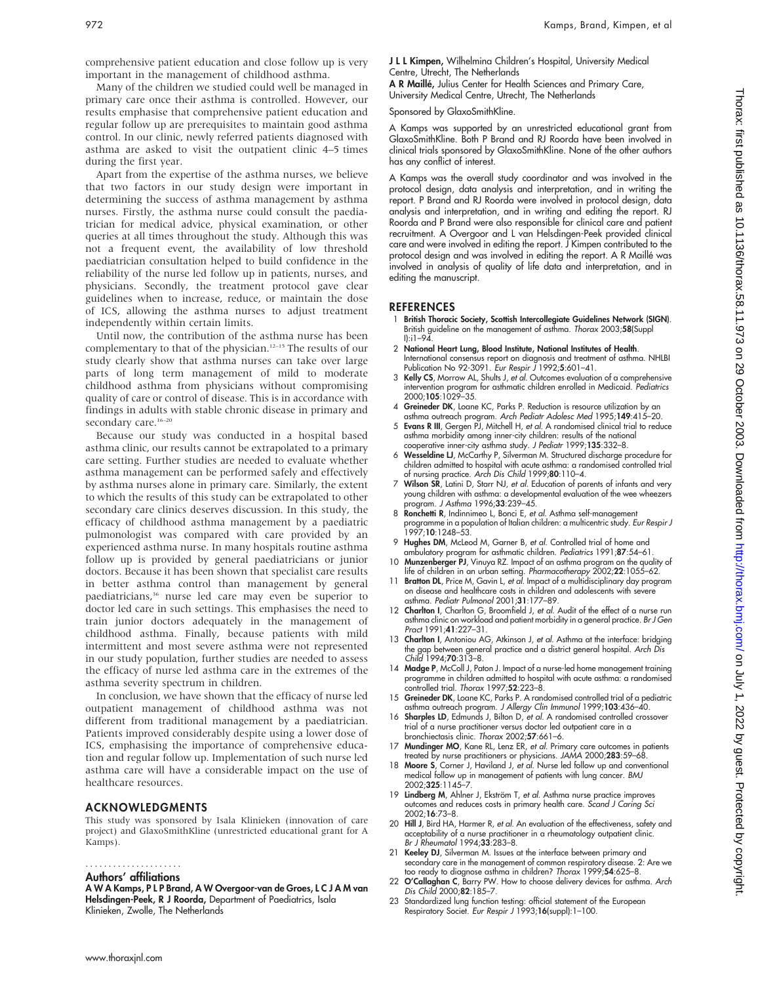comprehensive patient education and close follow up is very important in the management of childhood asthma.

Many of the children we studied could well be managed in primary care once their asthma is controlled. However, our results emphasise that comprehensive patient education and regular follow up are prerequisites to maintain good asthma control. In our clinic, newly referred patients diagnosed with asthma are asked to visit the outpatient clinic 4–5 times during the first year.

Apart from the expertise of the asthma nurses, we believe that two factors in our study design were important in determining the success of asthma management by asthma nurses. Firstly, the asthma nurse could consult the paediatrician for medical advice, physical examination, or other queries at all times throughout the study. Although this was not a frequent event, the availability of low threshold paediatrician consultation helped to build confidence in the reliability of the nurse led follow up in patients, nurses, and physicians. Secondly, the treatment protocol gave clear guidelines when to increase, reduce, or maintain the dose of ICS, allowing the asthma nurses to adjust treatment independently within certain limits.

Until now, the contribution of the asthma nurse has been complementary to that of the physician.12–15 The results of our study clearly show that asthma nurses can take over large parts of long term management of mild to moderate childhood asthma from physicians without compromising quality of care or control of disease. This is in accordance with findings in adults with stable chronic disease in primary and secondary care.<sup>16-20</sup>

Because our study was conducted in a hospital based asthma clinic, our results cannot be extrapolated to a primary care setting. Further studies are needed to evaluate whether asthma management can be performed safely and effectively by asthma nurses alone in primary care. Similarly, the extent to which the results of this study can be extrapolated to other secondary care clinics deserves discussion. In this study, the efficacy of childhood asthma management by a paediatric pulmonologist was compared with care provided by an experienced asthma nurse. In many hospitals routine asthma follow up is provided by general paediatricians or junior doctors. Because it has been shown that specialist care results in better asthma control than management by general paediatricians,<sup>36</sup> nurse led care may even be superior to doctor led care in such settings. This emphasises the need to train junior doctors adequately in the management of childhood asthma. Finally, because patients with mild intermittent and most severe asthma were not represented in our study population, further studies are needed to assess the efficacy of nurse led asthma care in the extremes of the asthma severity spectrum in children.

In conclusion, we have shown that the efficacy of nurse led outpatient management of childhood asthma was not different from traditional management by a paediatrician. Patients improved considerably despite using a lower dose of ICS, emphasising the importance of comprehensive education and regular follow up. Implementation of such nurse led asthma care will have a considerable impact on the use of healthcare resources.

### ACKNOWLEDGMENTS

This study was sponsored by Isala Klinieken (innovation of care project) and GlaxoSmithKline (unrestricted educational grant for A Kamps).

### .....................

### Authors' affiliations

A W A Kamps, P L P Brand, A W Overgoor-van de Groes, L C J A M van Helsdingen-Peek, R J Roorda, Department of Paediatrics, Isala Klinieken, Zwolle, The Netherlands

J L L Kimpen, Wilhelmina Children's Hospital, University Medical Centre, Utrecht, The Netherlands

A R Maillé, Julius Center for Health Sciences and Primary Care, University Medical Centre, Utrecht, The Netherlands

Sponsored by GlaxoSmithKline.

A Kamps was supported by an unrestricted educational grant from GlaxoSmithKline. Both P Brand and RJ Roorda have been involved in clinical trials sponsored by GlaxoSmithKline. None of the other authors has any conflict of interest.

A Kamps was the overall study coordinator and was involved in the protocol design, data analysis and interpretation, and in writing the report. P Brand and RJ Roorda were involved in protocol design, data analysis and interpretation, and in writing and editing the report. RJ Roorda and P Brand were also responsible for clinical care and patient recruitment. A Overgoor and L van Helsdingen-Peek provided clinical care and were involved in editing the report. J Kimpen contributed to the protocol design and was involved in editing the report. A R Maillé was involved in analysis of quality of life data and interpretation, and in editing the manuscript.

#### REFERENCES

- 1 British Thoracic Society, Scottish Intercollegiate Guidelines Network (SIGN). British guideline on the management of asthma. Thorax 2003;58(Suppl  $11 - 94$
- 2 National Heart Lung, Blood Institute, National Institutes of Health. International consensus report on diagnosis and treatment of asthma. NHLBI Publication No 92-3091. Eur Respir J 1992;5:601-41.
- 3 Kelly CS, Morrow AL, Shults J, et al. Outcomes evaluation of a comprehensive intervention program for asthmatic children enrolled in Medicaid. Pediatrics 2000;105:1029–35.
- 4 Greineder DK, Loane KC, Parks P. Reduction is resource utilization by an asthma outreach program. Arch Pediatr Adolesc Med 1995;149:415–20.
- 5 Evans R III, Gergen PJ, Mitchell H, et al. A randomised clinical trial to reduce asthma morbidity among inner-city children: results of the national cooperative inner-city asthma study. J Pediatr 1999;135:332–8.
- 6 Wesseldine LJ, McCarthy P, Silverman M. Structured discharge procedure for children admitted to hospital with acute asthma: a randomised controlled trial of nursing practice. Arch Dis Child 1999;80:110–4.
- 7 Wilson SR, Latini D, Starr NJ, et al. Education of parents of infants and very young children with asthma: a developmental evaluation of the wee wheezers program. J Asthma 1996;33:239–45.
- 8 Ronchetti R, Indinnimeo L, Bonci E, et al. Asthma self-management programme in a population ot Italian children: a multicentric study. *Eur Respir .*<br>1997;**10**:1248–53.
- 9 Hughes DM, McLeod M, Garner B, et al. Controlled trial of home and ambulatory program for asthmatic children. Pediatrics 1991;87:54–61.
- 10 Munzenberger PJ, Vinuya RZ. Impact of an asthma program on the quality of lite ot children in an urban setting. *Pharmacotherapy* 2002;**22**:1055–62.<br>11 **Bratton DL**, Price M, Gavin L, *et al.* Impact of a multidisciplinary day program
- on disease and healthcare costs in children and adolescents with severe asthma. Pediatr Pulmonol 2001;31:177–89.
- 12 Charlton I, Charlton G, Broomfield J, et al. Audit of the effect of a nurse run asthma clinic on workload and patient morbidity in a general practice. Br J Gen Pract 1991;41:227–31.
- 13 Charlton I, Antoniou AG, Atkinson J, et al. Asthma at the interface: bridging the gap between general practice and a district general hospital. Arch Dis  $Chi\bar{d}$  1994:70:313-8.
- 14 Madge P, McColl J, Paton J. Impact of a nurse-led home management training programme in children admitted to hospital with acute asthma: a randomised controlled trial. Thorax 1997;52:223-8.
- 15 Greineder DK, Loane KC, Parks P. A randomised controlled trial of a pediatric asthma outreach program. J Allergy Clin Immunol 1999;103:436–40.
- 16 Sharples LD, Edmunds J, Bilton D, et al. A randomised controlled crossover trial of a nurse practitioner versus doctor led outpatient care in a bronchiectasis clinic. Thorax 2002;57:661–6.
- 17 Mundinger MO, Kane RL, Lenz ER, et al. Primary care outcomes in patients
- treated by nurse practitioners or physicians. JAMA 2000;283:59–68. 18 Moore S, Corner J, Haviland J, et al. Nurse led follow up and conventional medical follow up in management of patients with lung cancer. BMJ 2002;325:1145–7.
- 19 Lindberg M, Ahlner J, Ekström T, et al. Asthma nurse practice improves outcomes and reduces costs in primary health care. Scand J Caring Sci 2002;16:73–8.
- 20 Hill J, Bird HA, Harmer R, et al. An evaluation of the effectiveness, safety and acceptability of a nurse practitioner in a rheumatology outpatient clinic. Br J Rheumatol 1994;33:283–8.
- 21 Keeley DJ, Silverman M. Issues at the interface between primary and secondary care in the management of common respiratory disease. 2: Are we too ready to diagnose asthma in children? Thorax 1999;54:625–8.
- 22 O'Callaghan C, Barry PW. How to choose delivery devices for asthma. Arch Dis Child 2000;82:185–7.
- 23 Standardized lung function testing: official statement of the European Respiratory Societ. Eur Respir J 1993;16(suppl):1–100.